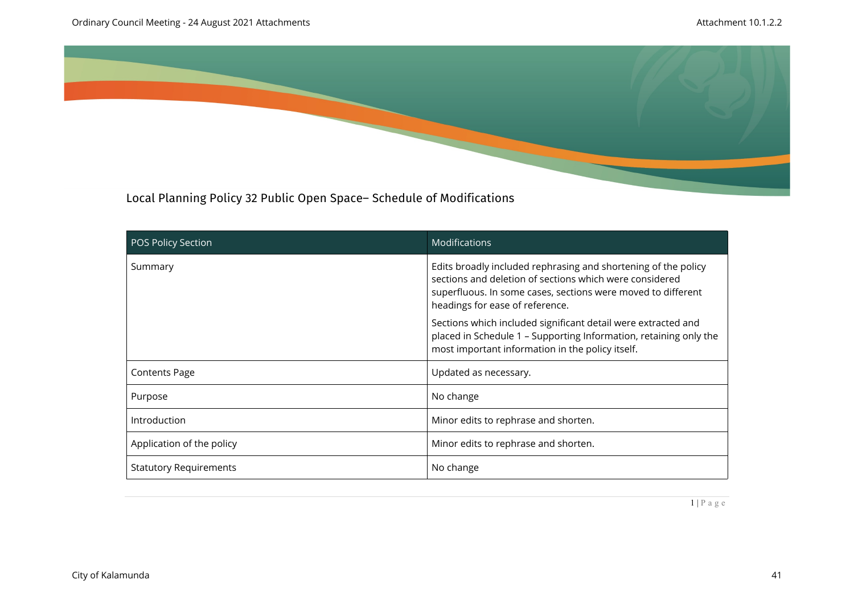

Local Planning Policy 32 Public Open Space– Schedule of Modifications

| <b>POS Policy Section</b>     | <b>Modifications</b>                                                                                                                                                                                                         |
|-------------------------------|------------------------------------------------------------------------------------------------------------------------------------------------------------------------------------------------------------------------------|
| Summary                       | Edits broadly included rephrasing and shortening of the policy<br>sections and deletion of sections which were considered<br>superfluous. In some cases, sections were moved to different<br>headings for ease of reference. |
|                               | Sections which included significant detail were extracted and<br>placed in Schedule 1 - Supporting Information, retaining only the<br>most important information in the policy itself.                                       |
| <b>Contents Page</b>          | Updated as necessary.                                                                                                                                                                                                        |
| Purpose                       | No change                                                                                                                                                                                                                    |
| Introduction                  | Minor edits to rephrase and shorten.                                                                                                                                                                                         |
| Application of the policy     | Minor edits to rephrase and shorten.                                                                                                                                                                                         |
| <b>Statutory Requirements</b> | No change                                                                                                                                                                                                                    |

 $1 | P a g e$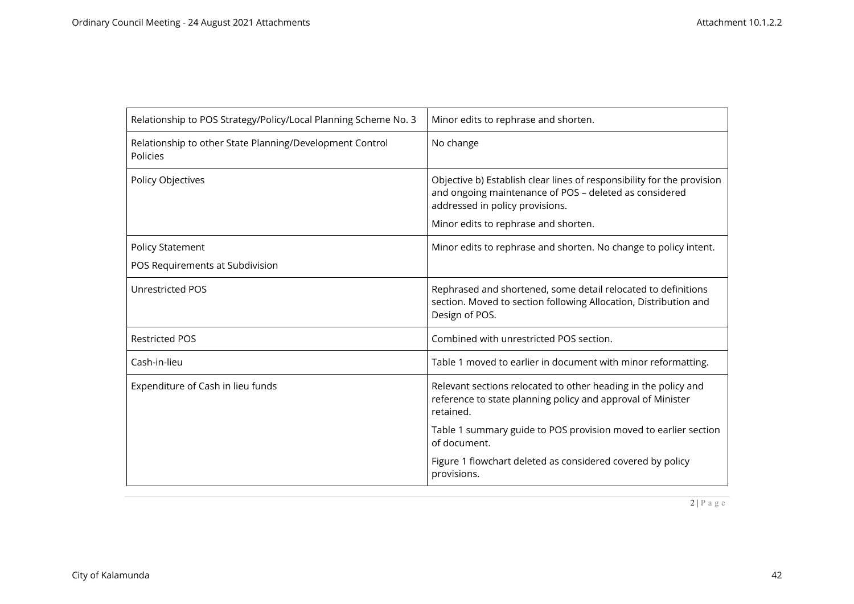| Relationship to POS Strategy/Policy/Local Planning Scheme No. 3      | Minor edits to rephrase and shorten.                                                                                                                                                                        |
|----------------------------------------------------------------------|-------------------------------------------------------------------------------------------------------------------------------------------------------------------------------------------------------------|
| Relationship to other State Planning/Development Control<br>Policies | No change                                                                                                                                                                                                   |
| Policy Objectives                                                    | Objective b) Establish clear lines of responsibility for the provision<br>and ongoing maintenance of POS - deleted as considered<br>addressed in policy provisions.<br>Minor edits to rephrase and shorten. |
| <b>Policy Statement</b>                                              | Minor edits to rephrase and shorten. No change to policy intent.                                                                                                                                            |
| POS Requirements at Subdivision                                      |                                                                                                                                                                                                             |
| <b>Unrestricted POS</b>                                              | Rephrased and shortened, some detail relocated to definitions<br>section. Moved to section following Allocation, Distribution and<br>Design of POS.                                                         |
| <b>Restricted POS</b>                                                | Combined with unrestricted POS section.                                                                                                                                                                     |
| Cash-in-lieu                                                         | Table 1 moved to earlier in document with minor reformatting.                                                                                                                                               |
| Expenditure of Cash in lieu funds                                    | Relevant sections relocated to other heading in the policy and<br>reference to state planning policy and approval of Minister<br>retained.                                                                  |
|                                                                      | Table 1 summary guide to POS provision moved to earlier section<br>of document.                                                                                                                             |
|                                                                      | Figure 1 flowchart deleted as considered covered by policy<br>provisions.                                                                                                                                   |

 $\boxed{2 | P a g e}$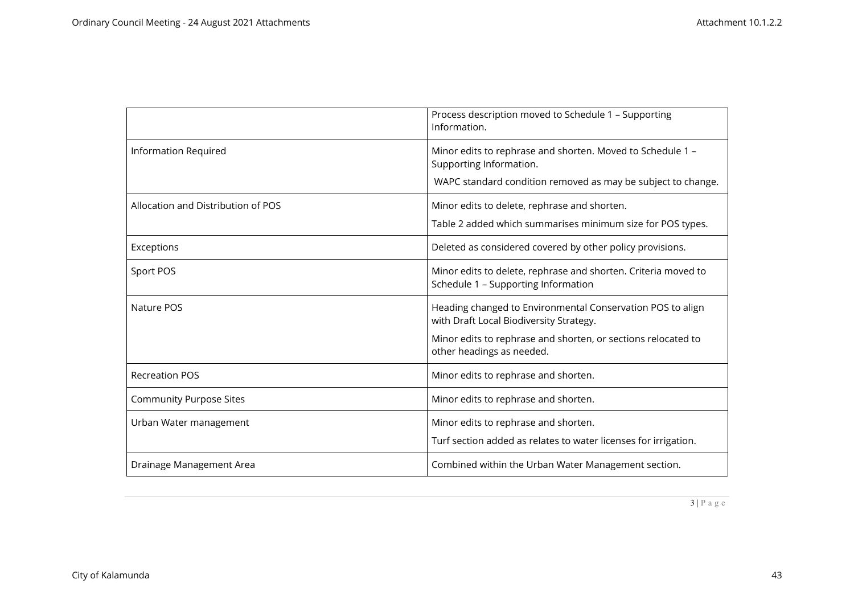|                                    | Process description moved to Schedule 1 - Supporting<br>Information.                                                                                                                                |
|------------------------------------|-----------------------------------------------------------------------------------------------------------------------------------------------------------------------------------------------------|
| <b>Information Required</b>        | Minor edits to rephrase and shorten. Moved to Schedule 1 -<br>Supporting Information.<br>WAPC standard condition removed as may be subject to change.                                               |
| Allocation and Distribution of POS | Minor edits to delete, rephrase and shorten.<br>Table 2 added which summarises minimum size for POS types.                                                                                          |
| Exceptions                         | Deleted as considered covered by other policy provisions.                                                                                                                                           |
| Sport POS                          | Minor edits to delete, rephrase and shorten. Criteria moved to<br>Schedule 1 - Supporting Information                                                                                               |
| Nature POS                         | Heading changed to Environmental Conservation POS to align<br>with Draft Local Biodiversity Strategy.<br>Minor edits to rephrase and shorten, or sections relocated to<br>other headings as needed. |
| <b>Recreation POS</b>              | Minor edits to rephrase and shorten.                                                                                                                                                                |
| <b>Community Purpose Sites</b>     | Minor edits to rephrase and shorten.                                                                                                                                                                |
| Urban Water management             | Minor edits to rephrase and shorten.<br>Turf section added as relates to water licenses for irrigation.                                                                                             |
| Drainage Management Area           | Combined within the Urban Water Management section.                                                                                                                                                 |

3 | P a g e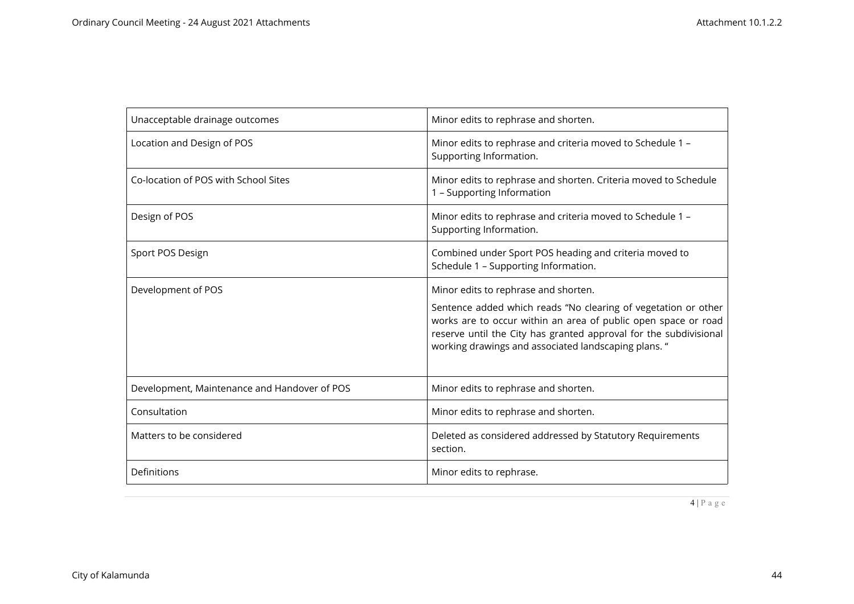| Unacceptable drainage outcomes               | Minor edits to rephrase and shorten.                                                                                                                                                                                                                                                                  |
|----------------------------------------------|-------------------------------------------------------------------------------------------------------------------------------------------------------------------------------------------------------------------------------------------------------------------------------------------------------|
| Location and Design of POS                   | Minor edits to rephrase and criteria moved to Schedule 1 -<br>Supporting Information.                                                                                                                                                                                                                 |
| Co-location of POS with School Sites         | Minor edits to rephrase and shorten. Criteria moved to Schedule<br>1 - Supporting Information                                                                                                                                                                                                         |
| Design of POS                                | Minor edits to rephrase and criteria moved to Schedule 1 -<br>Supporting Information.                                                                                                                                                                                                                 |
| Sport POS Design                             | Combined under Sport POS heading and criteria moved to<br>Schedule 1 - Supporting Information.                                                                                                                                                                                                        |
| Development of POS                           | Minor edits to rephrase and shorten.<br>Sentence added which reads "No clearing of vegetation or other<br>works are to occur within an area of public open space or road<br>reserve until the City has granted approval for the subdivisional<br>working drawings and associated landscaping plans. " |
| Development, Maintenance and Handover of POS | Minor edits to rephrase and shorten.                                                                                                                                                                                                                                                                  |
| Consultation                                 | Minor edits to rephrase and shorten.                                                                                                                                                                                                                                                                  |
| Matters to be considered                     | Deleted as considered addressed by Statutory Requirements<br>section.                                                                                                                                                                                                                                 |
| Definitions                                  | Minor edits to rephrase.                                                                                                                                                                                                                                                                              |

4 | P a g e